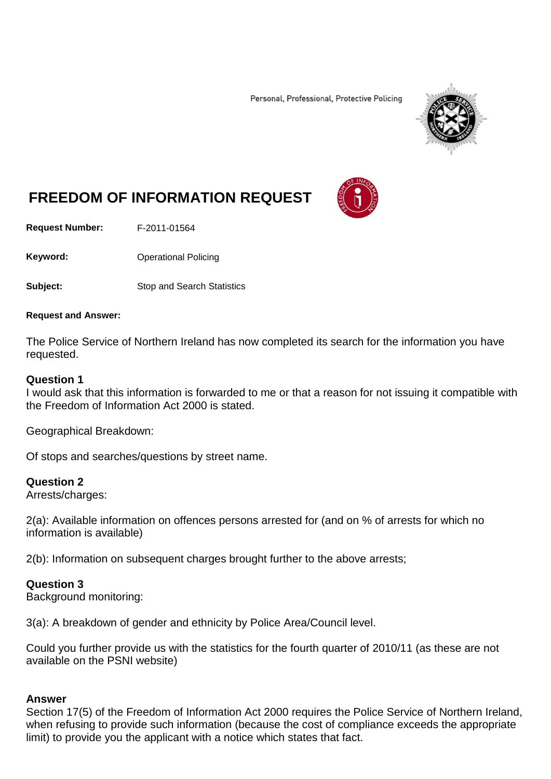Personal, Professional, Protective Policing



# **FREEDOM OF INFORMATION REQUEST**

**Request Number:** F-2011-01564

Keyword: **Channel Policing** Operational Policing

**Subject:** Stop and Search Statistics

#### **Request and Answer:**

The Police Service of Northern Ireland has now completed its search for the information you have requested.

### **Question 1**

I would ask that this information is forwarded to me or that a reason for not issuing it compatible with the Freedom of Information Act 2000 is stated.

Geographical Breakdown:

Of stops and searches/questions by street name.

### **Question 2**

Arrests/charges:

2(a): Available information on offences persons arrested for (and on % of arrests for which no information is available)

2(b): Information on subsequent charges brought further to the above arrests;

## **Question 3**

Background monitoring:

3(a): A breakdown of gender and ethnicity by Police Area/Council level.

Could you further provide us with the statistics for the fourth quarter of 2010/11 (as these are not available on the PSNI website)

### **Answer**

Section 17(5) of the Freedom of Information Act 2000 requires the Police Service of Northern Ireland, when refusing to provide such information (because the cost of compliance exceeds the appropriate limit) to provide you the applicant with a notice which states that fact.